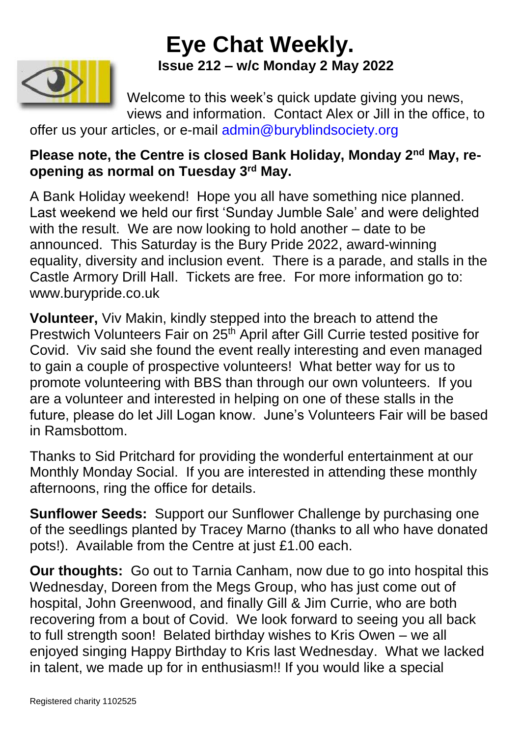# **Eye Chat Weekly. Issue 212 – w/c Monday 2 May 2022**



Welcome to this week's quick update giving you news, views and information. Contact Alex or Jill in the office, to

offer us your articles, or e-mail [admin@buryblindsociety.org](mailto:admin@buryblindsociety.org)

### **Please note, the Centre is closed Bank Holiday, Monday 2nd May, reopening as normal on Tuesday 3rd May.**

A Bank Holiday weekend! Hope you all have something nice planned. Last weekend we held our first 'Sunday Jumble Sale' and were delighted with the result. We are now looking to hold another – date to be announced. This Saturday is the Bury Pride 2022, award-winning equality, diversity and inclusion event. There is a parade, and stalls in the Castle Armory Drill Hall. Tickets are free. For more information go to: www.burypride.co.uk

**Volunteer,** Viv Makin, kindly stepped into the breach to attend the Prestwich Volunteers Fair on 25<sup>th</sup> April after Gill Currie tested positive for Covid. Viv said she found the event really interesting and even managed to gain a couple of prospective volunteers! What better way for us to promote volunteering with BBS than through our own volunteers. If you are a volunteer and interested in helping on one of these stalls in the future, please do let Jill Logan know. June's Volunteers Fair will be based in Ramsbottom.

Thanks to Sid Pritchard for providing the wonderful entertainment at our Monthly Monday Social. If you are interested in attending these monthly afternoons, ring the office for details.

**Sunflower Seeds:** Support our Sunflower Challenge by purchasing one of the seedlings planted by Tracey Marno (thanks to all who have donated pots!). Available from the Centre at just £1.00 each.

**Our thoughts:** Go out to Tarnia Canham, now due to go into hospital this Wednesday, Doreen from the Megs Group, who has just come out of hospital, John Greenwood, and finally Gill & Jim Currie, who are both recovering from a bout of Covid. We look forward to seeing you all back to full strength soon! Belated birthday wishes to Kris Owen – we all enjoyed singing Happy Birthday to Kris last Wednesday. What we lacked in talent, we made up for in enthusiasm!! If you would like a special